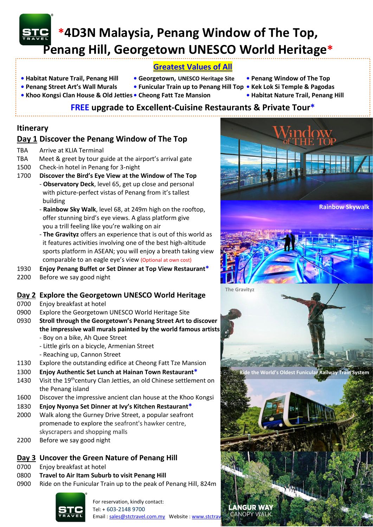

# **\*4D3N Malaysia, Penang Window of The Top, Penang Hill, Georgetown UNESCO World Heritage\***

# **Greatest Values of All**

- 
- **• Habitat Nature Trail, Penang Hill Georgetown, UNESCO Heritage Site • Penang Window of The Top**
- **Penang Street Art's Wall Murals Funicular Train up to Penang Hill Top • Kek Lok Si Temple & Pagodas**
	-
- 
- 
- -
- 
- 
- **Khoo Kongsi Clan House & Old Jetties Cheong Fatt Tze Mansion Habitat Nature Trail, Penang Hill**
	- **FREE upgrade to Excellent-Cuisine Restaurants & Private Tour\***

## **Itinerary**

# **Day 1 Discover the Penang Window of The Top**

- TBA Arrive at KLIA Terminal
- TBA Meet & greet by tour guide at the airport's arrival gate
- 1500 Check-in hotel in Penang for 3-night
- 1700 **Discover the Bird's Eye View at the Window of The Top**
	- **Observatory Deck**, level 65, get up close and personal with picture-perfect vistas of Penang from it's tallest building
	- **Rainbow Sky Walk**, level 68, at 249m high on the rooftop, offer stunning bird's eye views. A glass platform give you a trill feeling like you're walking on air
	- **The Gravityz** offers an experience that is out of this world as it features activities involving one of the best high-altitude sports platform in ASEAN; you will enjoy a breath taking view comparable to an eagle eye's view (Optional at own cost)
- 1930 **Enjoy Penang Buffet or Set Dinner at Top View Restaurant\***
- 2200 Before we say good night

# **Day 2 Explore the Georgetown UNESCO World Heritage**

- 0700 Enjoy breakfast at hotel
- 0900 Explore the Georgetown UNESCO World Heritage Site
- 0930 **Stroll through the Georgetown's Penang Street Art to discover the impressive wall murals painted by the world famous artists** - Boy on a bike, Ah Quee Street
	- Little girls on a bicycle, Armenian Street
	- Reaching up, Cannon Street
- 1130 Explore the outstanding edifice at Cheong Fatt Tze Mansion
- 1300 **Enjoy Authentic Set Lunch at Hainan Town Restaurant\***
- 1430 Visit the 19<sup>th</sup>century Clan Jetties, an old Chinese settlement on the Penang island
- 1600 Discover the impressive ancient clan house at the Khoo Kongsi
- 1830 **Enjoy Nyonya Set Dinner at Ivy's Kitchen Restaurant\***
- 2000 Walk along the Gurney Drive Street, a popular seafront promenade to explore the seafront's hawker centre, skyscrapers and shopping malls
- 2200 Before we say good night

# **Day 3 Uncover the Green Nature of Penang Hill**

- 0700 Enjoy breakfast at hotel
- 0800 **Travel to Air Itam Suburb to visit Penang Hill**
- 0900 Ride on the Funicular Train up to the peak of Penang Hill, 824m



For reservation, kindly contact: Tel: + 603-2148 9700 Email [: sales@stctravel.com.my](mailto:sales@stctravel.com.my) Website : www.stctravel.com/2022 CANOPY WALK

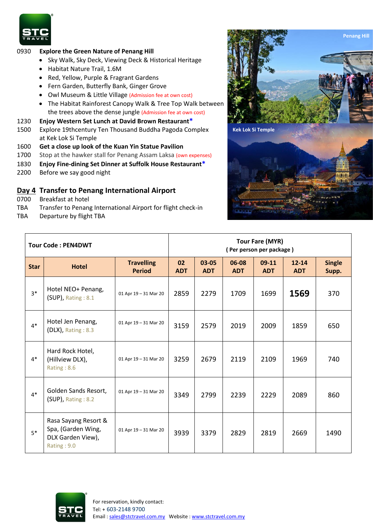

#### 0930 **Explore the Green Nature of Penang Hill**

- Sky Walk, Sky Deck, Viewing Deck & Historical Heritage
- Habitat Nature Trail, 1.6M
- Red, Yellow, Purple & Fragrant Gardens
- Fern Garden, Butterfly Bank, Ginger Grove
- Owl Museum & Little Village (Admission fee at own cost)
- The Habitat Rainforest Canopy Walk & Tree Top Walk between the trees above the dense jungle (Admission fee at own cost)
- 1230 **Enjoy Western Set Lunch at David Brown Restaurant\***
- 1500 Explore 19thcentury Ten Thousand Buddha Pagoda Complex at Kek Lok Si Temple
- 1600 **Get a close up look of the Kuan Yin Statue Pavilion**
- 1700 Stop at the hawker stall for Penang Assam Laksa (own expenses)
- 1830 **Enjoy Fine-dining Set Dinner at Suffolk House Restaurant\***
- 2200 Before we say good night

### **Day 4 Transfer to Penang International Airport**

- 0700 Breakfast at hotel
- TBA Transfer to Penang International Airport for flight check-in
- TBA Departure by flight TBA



| <b>Tour Code: PEN4DWT</b> |                                                                                |                                    | <b>Tour Fare (MYR)</b><br>(Per person per package) |                     |                     |                       |                         |                        |
|---------------------------|--------------------------------------------------------------------------------|------------------------------------|----------------------------------------------------|---------------------|---------------------|-----------------------|-------------------------|------------------------|
| <b>Star</b>               | <b>Hotel</b>                                                                   | <b>Travelling</b><br><b>Period</b> | 02<br><b>ADT</b>                                   | 03-05<br><b>ADT</b> | 06-08<br><b>ADT</b> | $09-11$<br><b>ADT</b> | $12 - 14$<br><b>ADT</b> | <b>Single</b><br>Supp. |
| $3*$                      | Hotel NEO+ Penang,<br>(SUP), Rating: 8.1                                       | 01 Apr 19 - 31 Mar 20              | 2859                                               | 2279                | 1709                | 1699                  | 1569                    | 370                    |
| $4*$                      | Hotel Jen Penang,<br>$(DLX)$ , Rating : 8.3                                    | 01 Apr 19 - 31 Mar 20              | 3159                                               | 2579                | 2019                | 2009                  | 1859                    | 650                    |
| $4*$                      | Hard Rock Hotel,<br>(Hillview DLX),<br>Rating: 8.6                             | 01 Apr 19 - 31 Mar 20              | 3259                                               | 2679                | 2119                | 2109                  | 1969                    | 740                    |
| $4*$                      | Golden Sands Resort,<br>$(SUP)$ , Rating : 8.2                                 | 01 Apr 19 - 31 Mar 20              | 3349                                               | 2799                | 2239                | 2229                  | 2089                    | 860                    |
| $5*$                      | Rasa Sayang Resort &<br>Spa, (Garden Wing,<br>DLX Garden View),<br>Rating: 9.0 | 01 Apr 19 - 31 Mar 20              | 3939                                               | 3379                | 2829                | 2819                  | 2669                    | 1490                   |